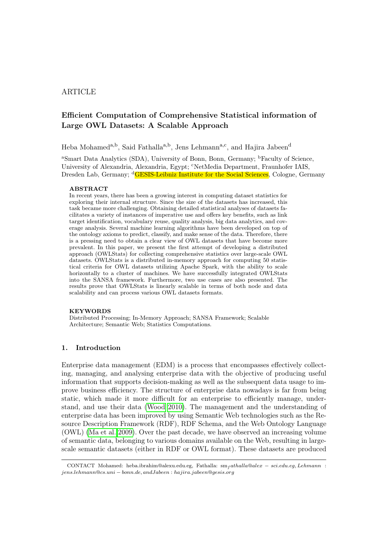# ARTICLE

# Efficient Computation of Comprehensive Statistical information of Large OWL Datasets: A Scalable Approach

Heba Mohamed<sup>a,b</sup>, Said Fathalla<sup>a,b</sup>, Jens Lehmann<sup>a,c</sup>, and Hajira Jabeen<sup>d</sup>

<sup>a</sup>Smart Data Analytics (SDA), University of Bonn, Bonn, Germany; <sup>b</sup>Faculty of Science, University of Alexandria, Alexandria, Egypt; <sup>c</sup>NetMedia Department, Fraunhofer IAIS, Dresden Lab, Germany; <sup>d</sup>GESIS-Leibniz Institute for the Social Sciences, Cologne, Germany

#### ABSTRACT

In recent years, there has been a growing interest in computing dataset statistics for exploring their internal structure. Since the size of the datasets has increased, this task became more challenging. Obtaining detailed statistical analyses of datasets facilitates a variety of instances of imperative use and offers key benefits, such as link target identification, vocabulary reuse, quality analysis, big data analytics, and coverage analysis. Several machine learning algorithms have been developed on top of the ontology axioms to predict, classify, and make sense of the data. Therefore, there is a pressing need to obtain a clear view of OWL datasets that have become more prevalent. In this paper, we present the first attempt of developing a distributed approach (OWLStats) for collecting comprehensive statistics over large-scale OWL datasets. OWLStats is a distributed in-memory approach for computing 50 statistical criteria for OWL datasets utilizing Apache Spark, with the ability to scale horizontally to a cluster of machines. We have successfully integrated OWLStats into the SANSA framework. Furthermore, two use cases are also presented. The results prove that OWLStats is linearly scalable in terms of both node and data scalability and can process various OWL datasets formats.

### **KEYWORDS**

Distributed Processing; In-Memory Approach; SANSA Framework; Scalable Architecture; Semantic Web; Statistics Computations.

# 1. Introduction

Enterprise data management (EDM) is a process that encompasses effectively collecting, managing, and analysing enterprise data with the objective of producing useful information that supports decision-making as well as the subsequent data usage to improve business efficiency. The structure of enterprise data nowadays is far from being static, which made it more difficult for an enterprise to efficiently manage, understand, and use their data [\(Wood 2010\)](#page-20-0). The management and the understanding of enterprise data has been improved by using Semantic Web technologies such as the Resource Description Framework (RDF), RDF Schema, and the Web Ontology Language (OWL) [\(Ma et al. 2009\)](#page-19-0). Over the past decade, we have observed an increasing volume of semantic data, belonging to various domains available on the Web, resulting in largescale semantic datasets (either in RDF or OWL format). These datasets are produced

CONTACT Mohamed: heba.ibrahim@alexu.edu.eg, Fathalla: sm<sub>f</sub> athalla@alex – sci.edu.eg, Lehmann : jens.lehmann@cs.uni − bonn.de, andJabeen : hajira.jabeen@gesis.org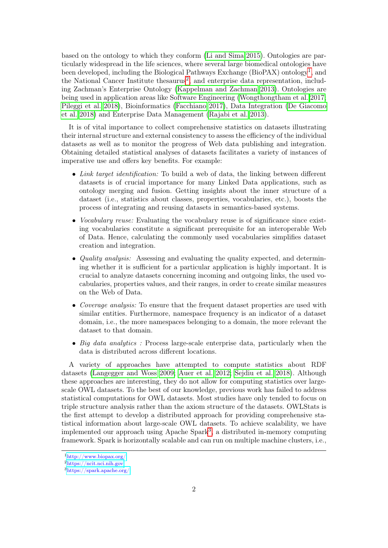based on the ontology to which they conform [\(Li and Sima 2015\)](#page-19-1). Ontologies are particularly widespread in the life sciences, where several large biomedical ontologies have been developed, including the Biological Pathways Exchange (BioPAX) ontology<sup>[1](#page-1-0)</sup>, and the National Cancer Institute thesaurus<sup>[2](#page-1-1)</sup>, and enterprise data representation, including Zachman's Enterprise Ontology [\(Kappelman and Zachman 2013\)](#page-19-2). Ontologies are being used in application areas like Software Engineering [\(Wongthongtham et al. 2017;](#page-20-1) [Pileggi et al. 2018\)](#page-19-3), Bioinformatics [\(Facchiano 2017\)](#page-19-4), Data Integration [\(De Giacomo](#page-19-5) [et al. 2018\)](#page-19-5) and Enterprise Data Management [\(Rajabi et al. 2013\)](#page-19-6).

It is of vital importance to collect comprehensive statistics on datasets illustrating their internal structure and external consistency to assess the efficiency of the individual datasets as well as to monitor the progress of Web data publishing and integration. Obtaining detailed statistical analyses of datasets facilitates a variety of instances of imperative use and offers key benefits. For example:

- Link target identification: To build a web of data, the linking between different datasets is of crucial importance for many Linked Data applications, such as ontology merging and fusion. Getting insights about the inner structure of a dataset (i.e., statistics about classes, properties, vocabularies, etc.), boosts the process of integrating and reusing datasets in semantics-based systems.
- *Vocabulary reuse:* Evaluating the vocabulary reuse is of significance since existing vocabularies constitute a significant prerequisite for an interoperable Web of Data. Hence, calculating the commonly used vocabularies simplifies dataset creation and integration.
- *Quality analysis:* Assessing and evaluating the quality expected, and determining whether it is sufficient for a particular application is highly important. It is crucial to analyze datasets concerning incoming and outgoing links, the used vocabularies, properties values, and their ranges, in order to create similar measures on the Web of Data.
- Coverage analysis: To ensure that the frequent dataset properties are used with similar entities. Furthermore, namespace frequency is an indicator of a dataset domain, i.e., the more namespaces belonging to a domain, the more relevant the dataset to that domain.
- Big data analytics: Process large-scale enterprise data, particularly when the data is distributed across different locations.

A variety of approaches have attempted to compute statistics about RDF datasets [\(Langegger and Woss 2009;](#page-19-7) [Auer et al. 2012;](#page-18-0) [Sejdiu et al. 2018\)](#page-19-8). Although these approaches are interesting, they do not allow for computing statistics over largescale OWL datasets. To the best of our knowledge, previous work has failed to address statistical computations for OWL datasets. Most studies have only tended to focus on triple structure analysis rather than the axiom structure of the datasets. OWLStats is the first attempt to develop a distributed approach for providing comprehensive statistical information about large-scale OWL datasets. To achieve scalability, we have implemented our approach using Apache Spark<sup>[3](#page-1-2)</sup>, a distributed in-memory computing framework. Spark is horizontally scalable and can run on multiple machine clusters, i.e.,

<span id="page-1-0"></span><sup>1</sup><http://www.biopax.org/>

<span id="page-1-1"></span><sup>2</sup><https://ncit.nci.nih.gov>

<span id="page-1-2"></span><sup>3</sup><https://spark.apache.org/>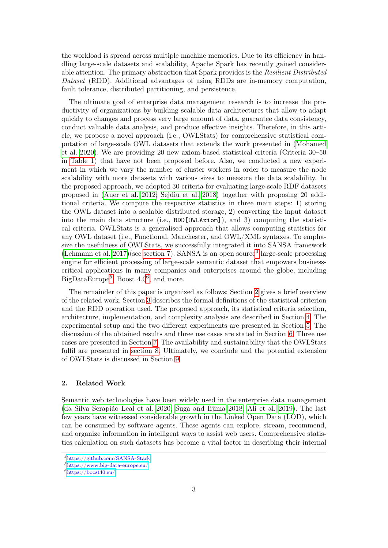the workload is spread across multiple machine memories. Due to its efficiency in handling large-scale datasets and scalability, Apache Spark has recently gained considerable attention. The primary abstraction that Spark provides is the Resilient Distributed Dataset (RDD). Additional advantages of using RDDs are in-memory computation, fault tolerance, distributed partitioning, and persistence.

The ultimate goal of enterprise data management research is to increase the productivity of organizations by building scalable data architectures that allow to adapt quickly to changes and process very large amount of data, guarantee data consistency, conduct valuable data analysis, and produce effective insights. Therefore, in this article, we propose a novel approach (i.e., OWLStats) for comprehensive statistical computation of large-scale OWL datasets that extends the work presented in [\(Mohamed](#page-19-9) [et al. 2020\)](#page-19-9). We are providing 20 new axiom-based statistical criteria (Criteria 30–50 in [Table 1\)](#page-6-0) that have not been proposed before. Also, we conducted a new experiment in which we vary the number of cluster workers in order to measure the node scalability with more datasets with various sizes to measure the data scalability. In the proposed approach, we adopted 30 criteria for evaluating large-scale RDF datasets proposed in [\(Auer et al. 2012;](#page-18-0) [Sejdiu et al. 2018\)](#page-19-8) together with proposing 20 additional criteria. We compute the respective statistics in three main steps: 1) storing the OWL dataset into a scalable distributed storage, 2) converting the input dataset into the main data structure (i.e., RDD[OWLAxiom]), and 3) computing the statistical criteria. OWLStats is a generalised approach that allows computing statistics for any OWL dataset (i.e., Functional, Manchester, and OWL/XML syntaxes. To emphasize the usefulness of OWLStats, we successfully integrated it into SANSA framework  $(Lehmann et al. 2017)(see section 7)$  $(Lehmann et al. 2017)(see section 7)$  $(Lehmann et al. 2017)(see section 7)$ . SANSA is an open source<sup>[4](#page-2-0)</sup> large-scale processing engine for efficient processing of large-scale semantic dataset that empowers businesscritical applications in many companies and enterprises around the globe, including  $BigDataEurope<sup>5</sup>$  $BigDataEurope<sup>5</sup>$  $BigDataEurope<sup>5</sup>$ , Boost 4.0<sup>[6](#page-2-2)</sup>, and more.

The remainder of this paper is organized as follows: Section [2](#page-2-3) gives a brief overview of the related work. Section [3](#page-4-0) describes the formal definitions of the statistical criterion and the RDD operation used. The proposed approach, its statistical criteria selection, architecture, implementation, and complexity analysis are described in Section [4.](#page-5-0) The experimental setup and the two different experiments are presented in Section [5.](#page-12-0) The discussion of the obtained results and three use cases are stated in Section [6.](#page-13-0) Three use cases are presented in Section [7.](#page-16-0) The availability and sustainability that the OWLStats fulfil are presented in [section 8.](#page-17-0) Ultimately, we conclude and the potential extension of OWLStats is discussed in Section [9.](#page-18-1)

# <span id="page-2-3"></span>2. Related Work

Semantic web technologies have been widely used in the enterprise data management [\(da Silva Serapião Leal et al. 2020;](#page-18-2) [Suga and Iijima 2018;](#page-20-2) [Ali et al. 2019\)](#page-18-3). The last few years have witnessed considerable growth in the Linked Open Data (LOD), which can be consumed by software agents. These agents can explore, stream, recommend, and organize information in intelligent ways to assist web users. Comprehensive statistics calculation on such datasets has become a vital factor in describing their internal

<span id="page-2-0"></span><sup>4</sup><https://github.com/SANSA-Stack>

<span id="page-2-1"></span><sup>5</sup><https://www.big-data-europe.eu/>

<span id="page-2-2"></span><sup>6</sup><https://boost40.eu/>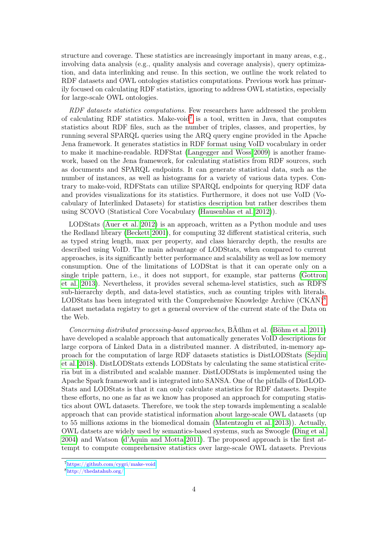structure and coverage. These statistics are increasingly important in many areas, e.g., involving data analysis (e.g., quality analysis and coverage analysis), query optimization, and data interlinking and reuse. In this section, we outline the work related to RDF datasets and OWL ontologies statistics computations. Previous work has primarily focused on calculating RDF statistics, ignoring to address OWL statistics, especially for large-scale OWL ontologies.

RDF datasets statistics computations. Few researchers have addressed the problem of calculating RDF statistics. Make-void<sup>[7](#page-3-0)</sup> is a tool, written in Java, that computes statistics about RDF files, such as the number of triples, classes, and properties, by running several SPARQL queries using the ARQ query engine provided in the Apache Jena framework. It generates statistics in RDF format using VoID vocabulary in order to make it machine-readable. RDFStat [\(Langegger and Woss 2009\)](#page-19-7) is another framework, based on the Jena framework, for calculating statistics from RDF sources, such as documents and SPARQL endpoints. It can generate statistical data, such as the number of instances, as well as histograms for a variety of various data types. Contrary to make-void, RDFStats can utilize SPARQL endpoints for querying RDF data and provides visualizations for its statistics. Furthermore, it does not use VoID (Vocabulary of Interlinked Datasets) for statistics description but rather describes them using SCOVO (Statistical Core Vocabulary [\(Hausenblas et al. 2012\)](#page-19-11)).

LODStats [\(Auer et al. 2012\)](#page-18-0) is an approach, written as a Python module and uses the Redland library [\(Beckett 2001\)](#page-18-4), for computing 32 different statistical criteria, such as typed string length, max per property, and class hierarchy depth, the results are described using VoID. The main advantage of LODStats, when compared to current approaches, is its significantly better performance and scalability as well as low memory consumption. One of the limitations of LODStat is that it can operate only on a single triple pattern, i.e., it does not support, for example, star patterns [\(Gottron](#page-19-12) [et al. 2013\)](#page-19-12). Nevertheless, it provides several schema-level statistics, such as RDFS sub-hierarchy depth, and data-level statistics, such as counting triples with literals. LODStats has been integrated with the Comprehensive Knowledge Archive (CKAN)<sup>[8](#page-3-1)</sup> dataset metadata registry to get a general overview of the current state of the Data on the Web.

Concerning distributed processing-based approaches, BÃűhm et al. [\(Böhm et al. 2011\)](#page-18-5) have developed a scalable approach that automatically generates VoID descriptions for large corpora of Linked Data in a distributed manner. A distributed, in-memory approach for the computation of large RDF datasets statistics is DistLODStats [\(Sejdiu](#page-19-8) [et al. 2018\)](#page-19-8). DistLODStats extends LODStats by calculating the same statistical criteria but in a distributed and scalable manner. DistLODStats is implemented using the Apache Spark framework and is integrated into SANSA. One of the pitfalls of DistLOD-Stats and LODStats is that it can only calculate statistics for RDF datasets. Despite these efforts, no one as far as we know has proposed an approach for computing statistics about OWL datasets. Therefore, we took the step towards implementing a scalable approach that can provide statistical information about large-scale OWL datasets (up to 55 millions axioms in the biomedical domain [\(Matentzoglu et al. 2013\)](#page-19-13)). Actually, OWL datsets are widely used by semantics-based systems, such as Swoogle [\(Ding et al.](#page-19-14) [2004\)](#page-19-14) and Watson [\(d'Aquin and Motta 2011\)](#page-18-6). The proposed approach is the first attempt to compute comprehensive statistics over large-scale OWL datasets. Previous

<span id="page-3-0"></span><sup>7</sup><https://github.com/cygri/make-void>

<span id="page-3-1"></span><sup>8</sup><http://thedatahub.org/>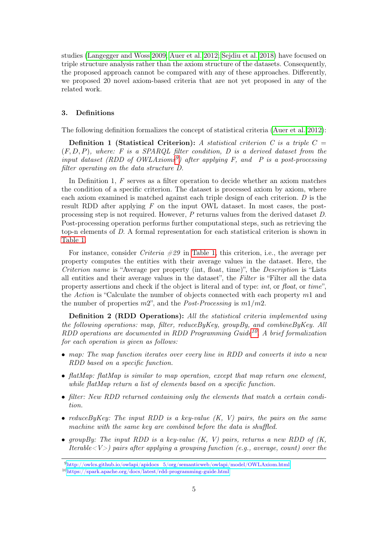studies [\(Langegger and Woss 2009;](#page-19-7) [Auer et al. 2012;](#page-18-0) [Sejdiu et al. 2018\)](#page-19-8) have focused on triple structure analysis rather than the axiom structure of the datasets. Consequently, the proposed approach cannot be compared with any of these approaches. Differently, we proposed 20 novel axiom-based criteria that are not yet proposed in any of the related work.

### <span id="page-4-0"></span>3. Definitions

The following definition formalizes the concept of statistical criteria [\(Auer et al. 2012\)](#page-18-0):

**Definition 1 (Statistical Criterion):** A statistical criterion C is a triple  $C =$  $(F, D, P)$ , where: F is a SPARQL filter condition, D is a derived dataset from the input dataset (RDD of  $OWLAxi^{g}$ ) after applying F, and P is a post-processing filter operating on the data structure D.

In Definition 1, F serves as a filter operation to decide whether an axiom matches the condition of a specific criterion. The dataset is processed axiom by axiom, where each axiom examined is matched against each triple design of each criterion. D is the result RDD after applying  $F$  on the input OWL dataset. In most cases, the postprocessing step is not required. However, P returns values from the derived dataset D. Post-processing operation performs further computational steps, such as retrieving the top-n elements of D. A formal representation for each statistical criterion is shown in [Table 1.](#page-6-0)

For instance, consider *Criteria*  $\#29$  in [Table 1,](#page-6-0) this criterion, i.e., the average per property computes the entities with their average values in the dataset. Here, the Criterion name is "Average per property (int, float, time)", the Description is "Lists all entities and their average values in the dataset", the Filter is "Filter all the data property assertions and check if the object is literal and of type: int, or float, or time", the Action is "Calculate the number of objects connected with each property m1 and the number of properties  $m2$ ", and the *Post-Processing* is  $m1/m2$ .

Definition 2 (RDD Operations): All the statistical criteria implemented using the following operations: map, filter, reduceByKey, groupBy, and combineByKey. All RDD operations are documented in RDD Programming Guide<sup>[10](#page-4-2)</sup>. A brief formalization for each operation is given as follows:

- map: The map function iterates over every line in RDD and converts it into a new RDD based on a specific function.
- flatMap: flatMap is similar to map operation, except that map return one element, while flatMap return a list of elements based on a specific function.
- filter: New RDD returned containing only the elements that match a certain condition.
- reduce By Key: The input RDD is a key-value  $(K, V)$  pairs, the pairs on the same machine with the same key are combined before the data is shuffled.
- groupBy: The input RDD is a key-value  $(K, V)$  pairs, returns a new RDD of  $(K, V)$ Iterable  $\langle V \rangle$  pairs after applying a grouping function (e.g., average, count) over the

<span id="page-4-1"></span><sup>9</sup>[http://owlcs.github.io/owlapi/apidocs\\_5/org/semanticweb/owlapi/model/OWLAxiom.html](http://owlcs.github.io/owlapi/apidocs_5/org/semanticweb/owlapi/model/OWLAxiom.html)

<span id="page-4-2"></span><sup>10</sup><https://spark.apache.org/docs/latest/rdd-programming-guide.html>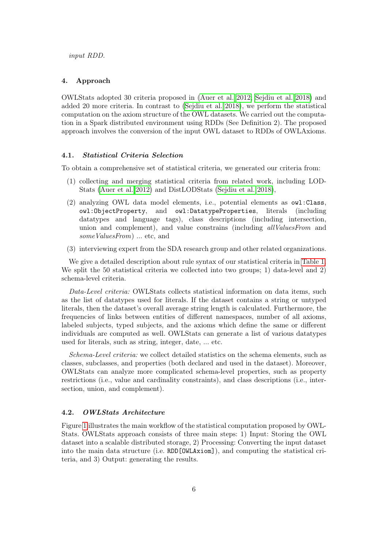#### <span id="page-5-0"></span>4. Approach

OWLStats adopted 30 criteria proposed in [\(Auer et al. 2012;](#page-18-0) [Sejdiu et al. 2018\)](#page-19-8) and added 20 more criteria. In contrast to [\(Sejdiu et al. 2018\)](#page-19-8), we perform the statistical computation on the axiom structure of the OWL datasets. We carried out the computation in a Spark distributed environment using RDDs (See Definition 2). The proposed approach involves the conversion of the input OWL dataset to RDDs of OWLAxioms.

# 4.1. Statistical Criteria Selection

To obtain a comprehensive set of statistical criteria, we generated our criteria from:

- (1) collecting and merging statistical criteria from related work, including LOD-Stats [\(Auer et al. 2012\)](#page-18-0) and DistLODStats [\(Sejdiu et al. 2018\)](#page-19-8),
- (2) analyzing OWL data model elements, i.e., potential elements as owl:Class, owl:ObjectProperty, and owl:DatatypeProperties, literals (including datatypes and language tags), class descriptions (including intersection, union and complement), and value constrains (including *allValuesFrom* and someValuesFrom) ... etc, and
- (3) interviewing expert from the SDA research group and other related organizations.

We give a detailed description about rule syntax of our statistical criteria in [Table 1.](#page-6-0) We split the 50 statistical criteria we collected into two groups; 1) data-level and 2) schema-level criteria.

Data-Level criteria: OWLStats collects statistical information on data items, such as the list of datatypes used for literals. If the dataset contains a string or untyped literals, then the dataset's overall average string length is calculated. Furthermore, the frequencies of links between entities of different namespaces, number of all axioms, labeled subjects, typed subjects, and the axioms which define the same or different individuals are computed as well. OWLStats can generate a list of various datatypes used for literals, such as string, integer, date, ... etc.

Schema-Level criteria: we collect detailed statistics on the schema elements, such as classes, subclasses, and properties (both declared and used in the dataset). Moreover, OWLStats can analyze more complicated schema-level properties, such as property restrictions (i.e., value and cardinality constraints), and class descriptions (i.e., intersection, union, and complement).

### 4.2. OWLStats Architecture

Figure [1](#page-7-0) illustrates the main workflow of the statistical computation proposed by OWL-Stats. OWLStats approach consists of three main steps: 1) Input: Storing the OWL dataset into a scalable distributed storage, 2) Processing: Converting the input dataset into the main data structure (i.e. RDD[OWLAxiom]), and computing the statistical criteria, and 3) Output: generating the results.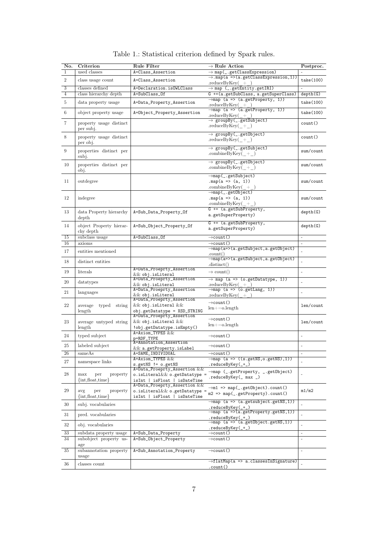<span id="page-6-0"></span>

| No.            | Criterion                                        | <b>Rule Filter</b>                                            | $\rightarrow$ Rule Action                                                                                                                                            | Postproc.                |
|----------------|--------------------------------------------------|---------------------------------------------------------------|----------------------------------------------------------------------------------------------------------------------------------------------------------------------|--------------------------|
| $\mathbf{1}$   | used classes                                     | A=Class_Assertion                                             | $\rightarrow$ map(_.getClassExpression)                                                                                                                              |                          |
| $\overline{2}$ | class usage count                                | A=Class_Assertion                                             | $\rightarrow$ .map(a =>(a.getClassExpression,1))                                                                                                                     | take(100)                |
| 3              | classes defined                                  | A=Declaration.isOWLClass                                      | .reduceByKey $( + )$<br>$\rightarrow$ map (_.getEntity.getIRI)                                                                                                       |                          |
| $\overline{4}$ | class hierarchy depth                            | A=SubClass_Of                                                 | G +=(a.getSubClass, a.getSuperClass)                                                                                                                                 | depth(G)                 |
| 5              | data property usage                              | A=Data_Property_Assertion                                     | $\rightarrow$ map (a => (a.getProperty, 1))                                                                                                                          | take(100)                |
|                |                                                  |                                                               | $reduceByKey( + )$                                                                                                                                                   |                          |
| 6              | object property usage                            | A=Object_Property_Assertion                                   | $\rightarrow$ map (a => (a.getProperty, 1))<br>$reduceByKey(+)$                                                                                                      | take(100)                |
| $\overline{7}$ |                                                  |                                                               | $\rightarrow$ groupBy(_.getSubject)                                                                                                                                  |                          |
|                | property usage distinct<br>per subj.             |                                                               | .reduceByKey $(+)$                                                                                                                                                   | count()                  |
| 8              | property usage distinct                          |                                                               | $\rightarrow$ groupBy(_.getObject)                                                                                                                                   | count()                  |
|                | per obj.                                         |                                                               | .reduceByKey $(+)$                                                                                                                                                   |                          |
| 9              | properties distinct per                          |                                                               | $\rightarrow$ groupBy(_.getSubject)                                                                                                                                  | $sum/c$ ount             |
|                | subj.                                            |                                                               | .combineByKey $(+)$                                                                                                                                                  |                          |
| 10             |                                                  |                                                               | $\rightarrow$ groupBy(_.getObject)                                                                                                                                   | sum/count                |
|                | properties distinct per<br>obj.                  |                                                               | .combineByKey $(+)$                                                                                                                                                  |                          |
|                |                                                  |                                                               | $\rightarrow$ map(_.getSubject)                                                                                                                                      |                          |
| 11             | outdegree                                        |                                                               | .map(a => $(a, 1)$ )                                                                                                                                                 | sum/count                |
|                |                                                  |                                                               | .combineByKey $( + )$                                                                                                                                                |                          |
| 12             | indegree                                         |                                                               | $\rightarrow$ map $(\_$ .getObject)<br>$map(a \Rightarrow (a, 1))$                                                                                                   | $sum/c$ ount             |
|                |                                                  |                                                               | .combineByKey $(+)$                                                                                                                                                  |                          |
|                |                                                  |                                                               | $G = (a.getSubProperty,$                                                                                                                                             |                          |
| 13             | data Property hierarchy<br>depth                 | A=Sub_Data_Property_Of                                        | a.getSuperProperty)                                                                                                                                                  | depth(G)                 |
|                |                                                  |                                                               | $G = (a.getSubProperty,$                                                                                                                                             |                          |
| 14             | object Property hierar-                          | A=Sub_Object_Property_Of                                      | a.getSuperProperty)                                                                                                                                                  | depth(G)                 |
| 15             | chy depth<br>subclass usage                      | A=SubClass_Of                                                 | $\rightarrow$ count ()                                                                                                                                               | $\overline{\phantom{a}}$ |
| 16             | axioms                                           |                                                               | $\rightarrow$ count ()                                                                                                                                               | $\overline{\phantom{a}}$ |
|                |                                                  |                                                               | $\rightarrow$ map(a=>(a.getSubject,a.getObject)                                                                                                                      |                          |
| 17             | entities mentioned                               |                                                               | .count()                                                                                                                                                             |                          |
| 18             | distinct entities                                |                                                               | $\rightarrow$ map(a=>(a.getSubject,a.getObject)<br>distinct()                                                                                                        |                          |
| 19             | literals                                         | A=Data_Proeprty_Assertion                                     | $\rightarrow$ count()                                                                                                                                                |                          |
|                |                                                  | $&&$ obj.isLiteral<br>A=Data_Proeprty_Assertion               | $\rightarrow$ map (a => (o.getDatatype, 1))                                                                                                                          |                          |
| 20             | datatypes                                        | $&&$ obj.isLiteral                                            | $reduceByKey( + )$                                                                                                                                                   | ÷,                       |
| 21             | languages                                        | A=Data_Proeprty_Assertion                                     | $\rightarrow$ map (a => (o.getLang, 1))                                                                                                                              | $\overline{\phantom{a}}$ |
|                |                                                  | $&&$ obj.isLiteral<br>A=Data_Proeprty_Assertion               | $reduceByKey( + )$                                                                                                                                                   |                          |
| 22             | average<br>typed string                          | $\&\&$ obj.isLiteral $\&\&$                                   | $\rightarrow$ count ()                                                                                                                                               | len/count                |
|                | length                                           | $obj.getDatatype = XSD_STRING$                                | $len+ = o.length$                                                                                                                                                    |                          |
|                |                                                  | A=Data_Proeprty_Assertion                                     | $\rightarrow$ count ()                                                                                                                                               |                          |
| 23             | average untyped string                           | $\&\&$ obj.isLiteral $\&\&$                                   | $len+ = o.length$                                                                                                                                                    | len/count                |
|                | length                                           | !obj.getDatatype.isEmpty()<br>A=Axiom_TYPES &&                |                                                                                                                                                                      |                          |
| 24             | typed subject                                    | p=RDF_TYPE                                                    | $\rightarrow$ count ()                                                                                                                                               |                          |
| 25             | labeled subject                                  | A=Annotation_Assertion                                        | $\rightarrow$ count ()                                                                                                                                               | $\overline{\phantom{a}}$ |
| 26             | sameAs                                           | && a.getProperty.isLabel<br>A=SAME_INDIVIDUAL                 | →count()                                                                                                                                                             |                          |
|                |                                                  | A=Axiom_TYPES &&                                              | $\rightarrow$ map (a => ((s.getNS,o.getNS),1))                                                                                                                       |                          |
| 27             | namespace links                                  | s.getNS != o.getNS                                            | .reduceByKey(_+_)                                                                                                                                                    |                          |
| 28             |                                                  | A=Data_Proeprty_Assertion &&                                  | $\rightarrow$ map (_.getProperty, _.getObject)                                                                                                                       | ä,                       |
|                | max<br>property<br>per<br>$\{int, float, time\}$ | o.isLiteral&& o.getDatatype =<br>isInt   isFloat   isDateTime | .reduceByKey(_ max _)                                                                                                                                                |                          |
|                |                                                  | A=Data_Proeprty_Assertion &&                                  |                                                                                                                                                                      |                          |
| 29             | avg<br>property<br>per                           | o.isLiteral $\&&$ o.getDatatype =                             | $\rightarrow$ m1 => map(_.getObject).count()<br>$m2 \Rightarrow map(\_ . getProperty).count()$                                                                       | m1/m2                    |
|                | $\{int, float, time\}$                           | isInt   isFloat   isDateTime                                  | $\rightarrow$ map (a => (a.getsubject.getNS,1))                                                                                                                      |                          |
| 30             | subj. vocabularies                               |                                                               |                                                                                                                                                                      |                          |
| 31             | pred. vocabularies                               |                                                               | $\substack{.\texttt{reduceByKey}(\_\texttt{--})\\ \rightarrow\texttt{map} \ (\ a \ \texttt{=&}\ \texttt{&}\ \texttt{=&}\ \texttt{.getProperty}.\ \texttt{getNS,1))}$ |                          |
|                |                                                  |                                                               | .reduceByKey(_+_)                                                                                                                                                    |                          |
| 32             | obj. vocabularies                                |                                                               | $\rightarrow$ map (a => (a.getObject.getNS,1))<br>.reduceByKey(_+_)                                                                                                  | $\overline{a}$           |
| 33             | subdata property usage                           | A=Sub_Data_Property                                           | $\rightarrow$ count()                                                                                                                                                | $\sim$                   |
| 34             | subobject property us-                           | A=Sub_Object_Property                                         | $\rightarrow$ count ()                                                                                                                                               | $\blacksquare$           |
|                | age                                              |                                                               |                                                                                                                                                                      |                          |
| 35             | subannotation property                           | A=Sub_Annotation_Property                                     | $\rightarrow$ count ()                                                                                                                                               | $\overline{\phantom{a}}$ |
|                | usage                                            |                                                               | $\rightarrow$ flatMap(a => a.classesInSignature)                                                                                                                     |                          |
| 36             | classes count                                    |                                                               | <u>.count()</u>                                                                                                                                                      |                          |

<span id="page-6-35"></span><span id="page-6-34"></span><span id="page-6-33"></span><span id="page-6-32"></span><span id="page-6-31"></span><span id="page-6-30"></span><span id="page-6-29"></span><span id="page-6-28"></span><span id="page-6-27"></span><span id="page-6-26"></span><span id="page-6-25"></span><span id="page-6-24"></span><span id="page-6-23"></span><span id="page-6-22"></span><span id="page-6-21"></span><span id="page-6-20"></span><span id="page-6-19"></span><span id="page-6-18"></span><span id="page-6-17"></span><span id="page-6-16"></span><span id="page-6-15"></span><span id="page-6-14"></span><span id="page-6-13"></span><span id="page-6-12"></span><span id="page-6-11"></span><span id="page-6-10"></span><span id="page-6-9"></span><span id="page-6-8"></span><span id="page-6-7"></span><span id="page-6-6"></span><span id="page-6-5"></span><span id="page-6-4"></span><span id="page-6-3"></span><span id="page-6-2"></span><span id="page-6-1"></span>Table 1.: Statistical criterion defined by Spark rules.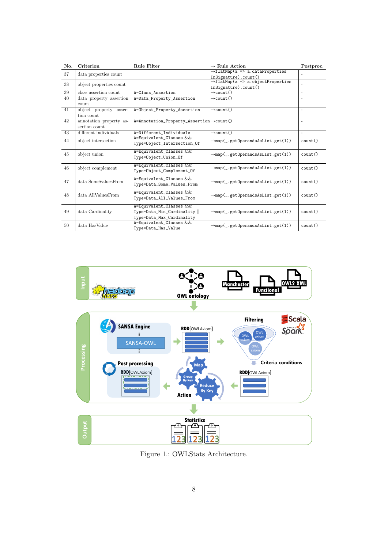<span id="page-7-9"></span><span id="page-7-8"></span><span id="page-7-7"></span><span id="page-7-6"></span><span id="page-7-5"></span><span id="page-7-4"></span><span id="page-7-3"></span><span id="page-7-2"></span><span id="page-7-1"></span>

| No.             | Criterion                                | <b>Rule Filter</b>                                                                   | $\rightarrow$ Rule Action                                             | Postproc. |
|-----------------|------------------------------------------|--------------------------------------------------------------------------------------|-----------------------------------------------------------------------|-----------|
| 37              | data properties count                    |                                                                                      | $\rightarrow$ flatMap(a => a.dataProperties<br>InSignature).count()   |           |
| 38              | object properties count                  |                                                                                      | $\rightarrow$ flatMap(a => a.objectProperties<br>InSignature).count() |           |
| $\overline{39}$ | class assertion count                    | A=Class_Assertion                                                                    | $\rightarrow$ count ()                                                | $\sim$    |
| 40              | data property assertion<br>count         | A=Data_Property_Assertion                                                            | $\rightarrow$ count()                                                 |           |
| 41              | object property<br>asser-<br>tion count  | A=Object_Property_Assertion                                                          | $\rightarrow$ count ()                                                | $\sim$    |
| 42              | annotation property as-<br>sertion count | $A=Annotation_Property\_Association \rightarrow count()$                             |                                                                       | $\sim$    |
| 43              | different individuals                    | A=Different_Individuals                                                              | $\rightarrow$ count ()                                                | $\sim$    |
| 44              | object intersection                      | A=Equivalent_Classes &&<br>Type=Object_Intersection_Of                               | $\rightarrow$ map(_.getOperandsAsList.get(1))                         | count()   |
| 45              | object union                             | A=Equivalent_Classes &&<br>Type=Object_Union_Of                                      | $\rightarrow$ map(_.getOperandsAsList.get(1))                         | count()   |
| 46              | object complement                        | A=Equivalent_Classes &&<br>Type=Object_Complement_Of                                 | $\rightarrow$ map(_.getOperandsAsList.get(1))                         | count()   |
| 47              | data SomeValuesFrom                      | A=Equivalent_Classes &&<br>Type=Data_Some_Values_From                                | $\rightarrow$ map(_.getOperandsAsList.get(1))                         | count()   |
| 48              | data AllValuesFrom                       | A=Equivalent_Classes &&<br>Type=Data_All_Values_From                                 | $\rightarrow$ map(_.getOperandsAsList.get(1))                         | count()   |
| 49              | data Cardinality                         | A=Equivalent_Classes &&<br>Type=Data_Min_Cardinality   <br>Type=Data_Max_Cardinality | $\rightarrow$ map(_.getOperandsAsList.get(1))                         | count()   |
| 50              | data HasValue                            | $A = Equivalent\_Classes$ &&<br>Type=Data_Has_Value                                  | $\rightarrow$ map(_.getOperandsAsList.get(1))                         | count()   |

<span id="page-7-14"></span><span id="page-7-13"></span><span id="page-7-12"></span><span id="page-7-11"></span><span id="page-7-10"></span><span id="page-7-0"></span>

Figure 1.: OWLStats Architecture.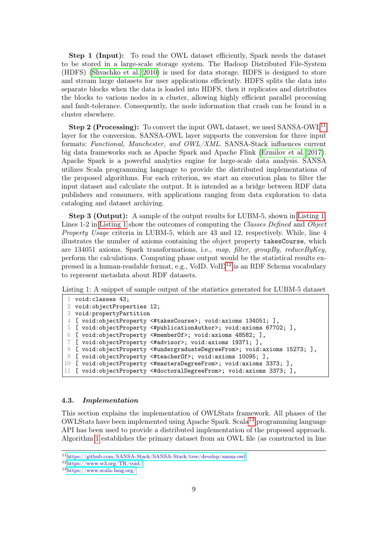Step 1 (Input): To read the OWL dataset efficiently, Spark needs the dataset to be stored in a large-scale storage system. The Hadoop Distributed File-System (HDFS) [\(Shvachko et al. 2010\)](#page-19-15) is used for data storage. HDFS is designed to store and stream large datasets for user applications efficiently. HDFS splits the data into separate blocks when the data is loaded into HDFS, then it replicates and distributes the blocks to various nodes in a cluster, allowing highly efficient parallel processing and fault-tolerance. Consequently, the node information that crash can be found in a cluster elsewhere.

Step 2 (Processing): To convert the input OWL dataset, we used SANSA-OWL<sup>[11](#page-8-0)</sup> layer for the conversion. SANSA-OWL layer supports the conversion for three input formats: Functional, Manchester, and OWL/XML. SANSA-Stack influences current big data frameworks such as Apache Spark and Apache Flink [\(Ermilov et al. 2017\)](#page-19-16). Apache Spark is a powerful analytics engine for large-scale data analysis. SANSA utilizes Scala programming language to provide the distributed implementations of the proposed algorithms. For each criterion, we start an execution plan to filter the input dataset and calculate the output. It is intended as a bridge between RDF data publishers and consumers, with applications ranging from data exploration to data cataloging and dataset archiving.

Step 3 (Output): A sample of the output results for LUBM-5, shown in [Listing 1.](#page-8-1) Lines 1-2 in [Listing 1](#page-8-1) show the outcomes of computing the Classes Defined and Object Property Usage criteria in LUBM-5, which are 43 and 12, respectively. While, line 4 illustrates the number of axioms containing the object property takesCourse, which are 134051 axioms. Spark transformations, i.e., map, filter, groupBy, reduceByKey, perform the calculations. Computing phase output would be the statistical results ex-pressed in a human-readable format, e.g., VoID. VoID<sup>[12](#page-8-2)</sup> is an RDF Schema vocabulary to represent metadata about RDF datasets.

<span id="page-8-1"></span>Listing 1: A snippet of sample output of the statistics generated for LUBM-5 dataset

```
1 void:classes 43;
 2 void:objectProperties 12;
3 void:propertyPartition
 4 [ void:objectProperty <#takesCourse>; void:axioms 134051; ],
5 [ void:objectProperty <#publicationAuthor>; void:axioms 67702; ],
6 [ void:objectProperty <#memberOf>; void:axioms 48582; ],
7 [ void:objectProperty <#advisor>; void:axioms 19371; ],
8 [ void:objectProperty <#undergraduateDegreeFrom>; void:axioms 15273; ],
9 [ void:objectProperty <#teacherOf>; void:axioms 10095; ],
10 [ void:objectProperty <#mastersDegreeFrom>; void:axioms 3373; ],
11 [ void:objectProperty <#doctoralDegreeFrom>; void:axioms 3373; ],
```
#### 4.3. Implementation

This section explains the implementation of OWLStats framework. All phases of the OWLStats have been implemented using Apache Spark. Scala[13](#page-8-3) programming language API has been used to provide a distributed implementation of the proposed approach. Algorithm [1](#page-9-0) establishes the primary dataset from an OWL file (as constructed in line

<span id="page-8-0"></span><sup>11</sup><https://github.com/SANSA-Stack/SANSA-Stack/tree/develop/sansa-owl>

<span id="page-8-2"></span><sup>12</sup><https://www.w3.org/TR/void/>

<span id="page-8-3"></span><sup>13</sup><https://www.scala-lang.org/>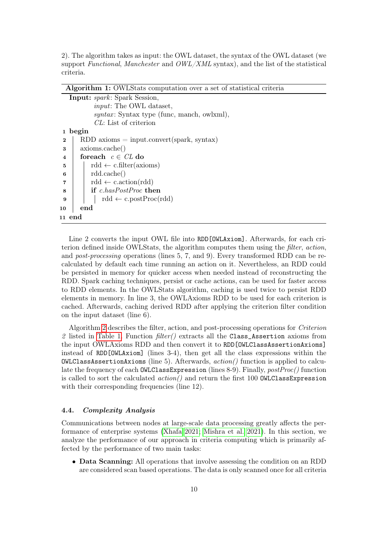2). The algorithm takes as input: the OWL dataset, the syntax of the OWL dataset (we support Functional, Manchester and OWL/XML syntax), and the list of the statistical criteria.

Algorithm 1: OWLStats computation over a set of statistical criteria

<span id="page-9-0"></span>

| <b>Input:</b> spark: Spark Session, |                                                        |  |  |  |
|-------------------------------------|--------------------------------------------------------|--|--|--|
|                                     | <i>input:</i> The OWL dataset,                         |  |  |  |
|                                     | <i>syntax</i> : Syntax type (func, manch, owlxml),     |  |  |  |
|                                     | CL: List of criterion                                  |  |  |  |
|                                     | 1 begin                                                |  |  |  |
| $\bf{2}$                            | $RDD$ axioms = input.convert(spark, syntax)            |  |  |  |
| 3                                   | axioms.cache()                                         |  |  |  |
| $\overline{\mathbf{4}}$             | for each $c \in CL$ do                                 |  |  |  |
| 5                                   | $\text{rdd} \leftarrow \text{c-filter}(\text{axioms})$ |  |  |  |
| 6                                   | rdd.cache()                                            |  |  |  |
| 7                                   | $\text{rdd} \leftarrow \text{c.action}(\text{rdd})$    |  |  |  |
| 8                                   | <b>if</b> c.hasPostProc then                           |  |  |  |
| 9                                   | $\text{rdd} \leftarrow \text{c.postProc}(\text{rdd})$  |  |  |  |
| 10                                  | end                                                    |  |  |  |
| 11 end                              |                                                        |  |  |  |

Line 2 converts the input OWL file into RDD [OWLAxiom]. Afterwards, for each criterion defined inside OWLStats, the algorithm computes them using the filter, action, and post-processing operations (lines 5, 7, and 9). Every transformed RDD can be recalculated by default each time running an action on it. Nevertheless, an RDD could be persisted in memory for quicker access when needed instead of reconstructing the RDD. Spark caching techniques, persist or cache actions, can be used for faster access to RDD elements. In the OWLStats algorithm, caching is used twice to persist RDD elements in memory. In line 3, the OWLAxioms RDD to be used for each criterion is cached. Afterwards, caching derived RDD after applying the criterion filter condition on the input dataset (line 6).

Algorithm [2](#page-10-0) describes the filter, action, and post-processing operations for Criterion 2 listed in [Table 1.](#page-6-0) Function  $filter()$  extracts all the Class\_Assertion axioms from the input OWLAxioms RDD and then convert it to RDD[OWLClassAssertionAxioms] instead of RDD[OWLAxiom] (lines 3-4), then get all the class expressions within the  $\text{OWLClass}$ AssertionAxioms (line 5). Afterwards,  $action()$  function is applied to calculate the frequency of each **OWLClassExpression** (lines 8-9). Finally, *postProc*() function is called to sort the calculated  $action()$  and return the first 100 **OWLClassExpression** with their corresponding frequencies (line 12).

# 4.4. Complexity Analysis

Communications between nodes at large-scale data processing greatly affects the performance of enterprise systems [\(Xhafa 2021;](#page-20-3) [Mishra et al. 2021\)](#page-19-17). In this section, we analyze the performance of our approach in criteria computing which is primarily affected by the performance of two main tasks:

• Data Scanning: All operations that involve assessing the condition on an RDD are considered scan based operations. The data is only scanned once for all criteria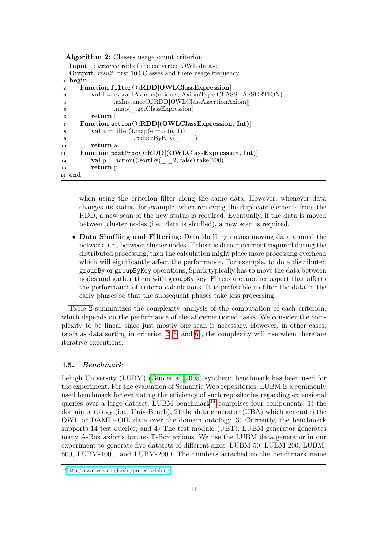Algorithm 2: Classes usage count criterion

```
Input : axioms: rdd of the converted OWL dataset
  Output: result: first 100 Classes and there usage frequency
1 begin
2 Function filter():RDD[OWLClassExpression]
 \alpha val f = \text{extractAxi}(\text{axioms}, \text{Axi})4 . asInstanceOf[RDD[OWLClassAssertionAxiom]]
 5 .map(_.getClassExpression)
 6 return f
 7 Function action():RDD[(OWLClassExpression, Int)]
 \mathbf{s} | val a = \text{filter}(\text{).map}(e \implies (e, 1))\text{reduceByKey}( + )10 return a
11 Function postProc():RDD[(OWLClassExpression, Int)]
12 val p = action().sortBy(\therefore 2, false).take(100)
13 return p
14 end
```
when using the criterion filter along the same data. However, whenever data changes its status, for example, when removing the duplicate elements from the RDD, a new scan of the new status is required. Eventually, if the data is moved between cluster nodes (i.e., data is shuffled), a new scan is required.

• Data Shuffling and Filtering: Data shuffling means moving data around the network, i.e., between cluster nodes. If there is data movement required during the distributed processing, then the calculation might place more processing overhead which will significantly affect the performance. For example, to do a distributed groupBy or groupByKey operations, Spark typically has to move the data between nodes and gather them with groupBy key. Filters are another aspect that affects the performance of criteria calculations. It is preferable to filter the data in the early phases so that the subsequent phases take less processing.

[Table 2](#page-11-0) summarizes the complexity analysis of the computation of each criterion, which depends on the performance of the aforementioned tasks. We consider the complexity to be linear since just mostly one scan is necessary. However, in other cases, (such as data sorting in criterion [2,](#page-6-1) [5,](#page-6-2) and [6\)](#page-6-3), the complexity will rise when there are iterative executions.

#### 4.5. Benchmark

Lehigh University (LUBM) [\(Guo et al. 2005\)](#page-19-18) synthetic benchmark has been used for the experiment. For the evaluation of Semantic Web repositories, LUBM is a commonly used benchmark for evaluating the efficiency of such repositories regarding extensional queries over a large dataset. LUBM benchmark<sup>[14](#page-10-1)</sup> comprises four components: 1) the domain ontology (i.e., Univ-Bench), 2) the data generator (UBA) which generates the OWL or  $DAML+OL$  data over the domain ontology. 3) Currently, the benchmark supports 14 test queries, and 4) The test module (UBT). LUBM generator generates many A-Box axioms but no T-Box axioms. We use the LUBM data generator in our experiment to generate five datasets of different sizes: LUBM-50, LUBM-200, LUBM-500, LUBM-1000, and LUBM-2000. The numbers attached to the benchmark name

<span id="page-10-1"></span><sup>14</sup><http://swat.cse.lehigh.edu/projects/lubm/>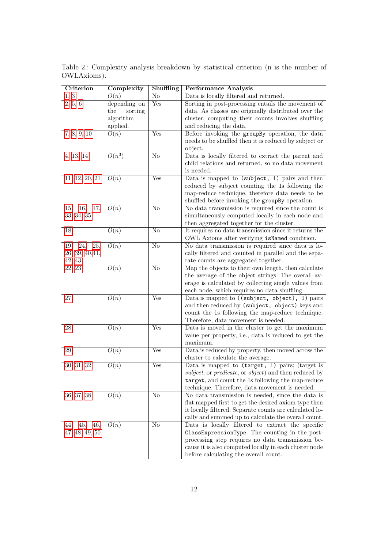| Criterion         | Complexity        | Shuffling                 | <b>Performance Analysis</b>                                                                      |
|-------------------|-------------------|---------------------------|--------------------------------------------------------------------------------------------------|
| 1, 3              | O(n)              | $\rm No$                  | Data is locally filtered and returned.                                                           |
| 2, 5, 6           | depending on      | Yes                       | Sorting in post-processing entails the movement of                                               |
|                   | the<br>sorting    |                           | data. As classes are originally distributed over the                                             |
|                   | algorithm         |                           | cluster, computing their counts involves shuffling                                               |
|                   | applied.          |                           | and reducing the data.                                                                           |
| 7, 8, 9, 10       | O(n)              | Yes                       | Before invoking the groupBy operation, the data                                                  |
|                   |                   |                           | needs to be shuffled then it is reduced by subject or                                            |
|                   |                   |                           | object.                                                                                          |
| 4, 13, 14         | $O(n^3)$          | $\overline{\text{No}}$    | Data is locally filtered to extract the parent and                                               |
|                   |                   |                           | child relations and returned, so no data movement                                                |
|                   |                   |                           | is needed.                                                                                       |
| 11, 12, 20, 21    | O(n)              | Yes                       | Data is mapped to (subject, 1) pairs and then                                                    |
|                   |                   |                           | reduced by subject counting the 1s following the                                                 |
|                   |                   |                           | map-reduce technique, therefore data needs to be                                                 |
|                   |                   |                           | shuffled before invoking the group By operation.                                                 |
| 15, 16,<br>17,    | O(n)              | No                        | No data transmission is required since the count is                                              |
| 33, 34, 35        |                   |                           | simultaneously computed locally in each node and                                                 |
|                   |                   |                           | then aggregated together for the cluster.                                                        |
| 18                | $\overline{O(n)}$ | $\overline{\text{No}}$    | It requires no data transmission since it returns the                                            |
|                   |                   |                           | OWL Axioms after verifying isNamed condition.                                                    |
| 24, 25,<br>19,    | O(n)              | No                        | No data transmission is required since data is lo-                                               |
| 26, 39, 40, 41,   |                   |                           | cally filtered and counted in parallel and the sepa-                                             |
| 42, 43            |                   |                           | rate counts are aggregated together.                                                             |
| 22, 23            | O(n)              | $\overline{\text{No}}$    | Map the objects to their own length, then calculate                                              |
|                   |                   |                           | the average of the object strings. The overall av-                                               |
|                   |                   |                           | erage is calculated by collecting single values from                                             |
| 27                | O(n)              | Yes                       | each node, which requires no data shuffling.                                                     |
|                   |                   |                           | Data is mapped to ((subject, object), 1) pairs<br>and then reduced by (subject, object) keys and |
|                   |                   |                           | count the 1s following the map-reduce technique.                                                 |
|                   |                   |                           | Therefore, data movement is needed.                                                              |
| 28                | O(n)              | Yes                       | Data is moved in the cluster to get the maximum                                                  |
|                   |                   |                           | value per property, i.e., data is reduced to get the                                             |
|                   |                   |                           | maximum.                                                                                         |
| 29                | O(n)              | Yes                       | Data is reduced by property, then moved across the                                               |
|                   |                   |                           | cluster to calculate the average.                                                                |
| 30, 31, 32        | O(n)              | $\overline{\mathrm{Yes}}$ | Data is mapped to (target, 1) pairs; (target is                                                  |
|                   |                   |                           | subject, or predicate, or object) and then reduced by                                            |
|                   |                   |                           | target, and count the 1s following the map-reduce                                                |
|                   |                   |                           | technique. Therefore, data movement is needed.                                                   |
| 36, 37, 38        | O(n)              | $\overline{\text{No}}$    | No data transmission is needed, since the data is                                                |
|                   |                   |                           | flat mapped first to get the desired axiom type then                                             |
|                   |                   |                           | it locally filtered. Separate counts are calculated lo-                                          |
|                   |                   |                           | cally and summed up to calculate the overall count.                                              |
| 45,<br>46,<br>44, | O(n)              | No                        | Data is locally filtered to extract the specific                                                 |
| 47, 48, 49, 50    |                   |                           | ClassExpressionType. The counting in the post-                                                   |
|                   |                   |                           | processing step requires no data transmission be-                                                |
|                   |                   |                           | cause it is also computed locally in each cluster node                                           |
|                   |                   |                           | before calculating the overall count.                                                            |

<span id="page-11-0"></span>Table 2.: Complexity analysis breakdown by statistical criterion (n is the number of OWLAxioms).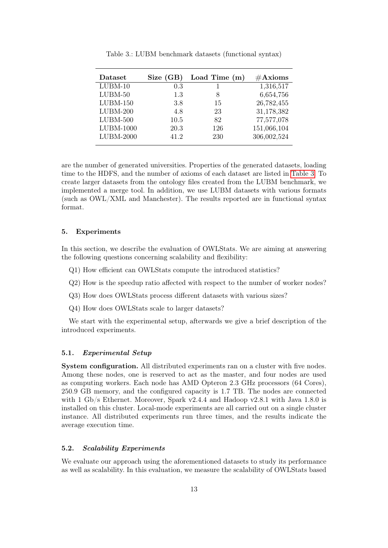<span id="page-12-1"></span>

| Dataset     | Size (GB) | Load Time $(m)$ | $\#\text{Axioms}$ |
|-------------|-----------|-----------------|-------------------|
| $LUBM-10$   | 0.3       |                 | 1,316,517         |
| $LUBM-50$   | 1.3       | 8               | 6,654,756         |
| $LUBM-150$  | 3.8       | 15              | 26,782,455        |
| $LUBM-200$  | 4.8       | 23              | 31,178,382        |
| $LUBM-500$  | 10.5      | 82              | 77,577,078        |
| LUBM-1000   | 20.3      | 126             | 151,066,104       |
| $LUBM-2000$ | 41 2      | 230             | 306,002,524       |

Table 3.: LUBM benchmark datasets (functional syntax)

are the number of generated universities. Properties of the generated datasets, loading time to the HDFS, and the number of axioms of each dataset are listed in [Table 3.](#page-12-1) To create larger datasets from the ontology files created from the LUBM benchmark, we implemented a merge tool. In addition, we use LUBM datasets with various formats (such as OWL/XML and Manchester). The results reported are in functional syntax format.

# <span id="page-12-0"></span>5. Experiments

In this section, we describe the evaluation of OWLStats. We are aiming at answering the following questions concerning scalability and flexibility:

- Q1) How efficient can OWLStats compute the introduced statistics?
- Q2) How is the speedup ratio affected with respect to the number of worker nodes?
- Q3) How does OWLStats process different datasets with various sizes?
- Q4) How does OWLStats scale to larger datasets?

We start with the experimental setup, afterwards we give a brief description of the introduced experiments.

## 5.1. Experimental Setup

System configuration. All distributed experiments ran on a cluster with five nodes. Among these nodes, one is reserved to act as the master, and four nodes are used as computing workers. Each node has AMD Opteron 2.3 GHz processors (64 Cores), 250.9 GB memory, and the configured capacity is 1.7 TB. The nodes are connected with 1 Gb/s Ethernet. Moreover, Spark v2.4.4 and Hadoop v2.8.1 with Java 1.8.0 is installed on this cluster. Local-mode experiments are all carried out on a single cluster instance. All distributed experiments run three times, and the results indicate the average execution time.

#### 5.2. Scalability Experiments

We evaluate our approach using the aforementioned datasets to study its performance as well as scalability. In this evaluation, we measure the scalability of OWLStats based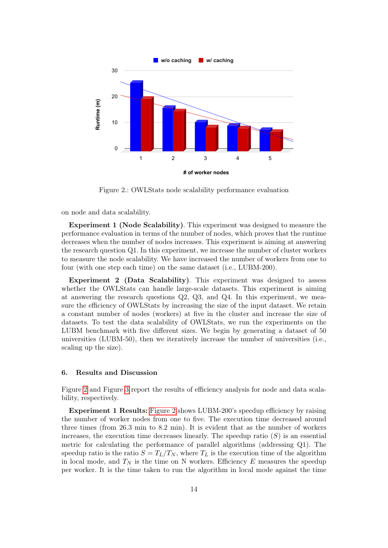<span id="page-13-1"></span>

Figure 2.: OWLStats node scalability performance evaluation

on node and data scalability.

Experiment 1 (Node Scalability). This experiment was designed to measure the performance evaluation in terms of the number of nodes, which proves that the runtime decreases when the number of nodes increases. This experiment is aiming at answering the research question Q1. In this experiment, we increase the number of cluster workers to measure the node scalability. We have increased the number of workers from one to four (with one step each time) on the same dataset (i.e., LUBM-200).

Experiment 2 (Data Scalability). This experiment was designed to assess whether the OWLStats can handle large-scale datasets. This experiment is aiming at answering the research questions Q2, Q3, and Q4. In this experiment, we measure the efficiency of OWLStats by increasing the size of the input dataset. We retain a constant number of nodes (workers) at five in the cluster and increase the size of datasets. To test the data scalability of OWLStats, we run the experiments on the LUBM benchmark with five different sizes. We begin by generating a dataset of 50 universities (LUBM-50), then we iteratively increase the number of universities (i.e., scaling up the size).

#### <span id="page-13-0"></span>6. Results and Discussion

Figure [2](#page-13-1) and Figure [3](#page-14-0) report the results of efficiency analysis for node and data scalability, respectively.

Experiment 1 Results: [Figure 2](#page-13-1) shows LUBM-200's speedup efficiency by raising the number of worker nodes from one to five. The execution time decreased around three times (from 26.3 min to 8.2 min). It is evident that as the number of workers increases, the execution time decreases linearly. The speedup ratio  $(S)$  is an essential metric for calculating the performance of parallel algorithms (addressing Q1). The speedup ratio is the ratio  $S = T_L/T_N$ , where  $T_L$  is the execution time of the algorithm in local mode, and  $T_N$  is the time on N workers. Efficiency E measures the speedup per worker. It is the time taken to run the algorithm in local mode against the time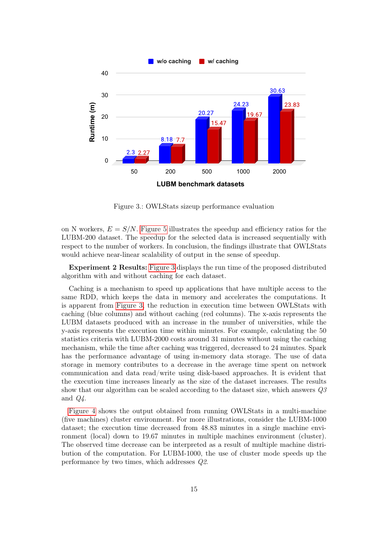<span id="page-14-0"></span>

Figure 3.: OWLStats sizeup performance evaluation

on N workers,  $E = S/N$ . [Figure 5](#page-16-1) illustrates the speedup and efficiency ratios for the LUBM-200 dataset. The speedup for the selected data is increased sequentially with respect to the number of workers. In conclusion, the findings illustrate that OWLStats would achieve near-linear scalability of output in the sense of speedup.

Experiment 2 Results: [Figure 3](#page-14-0) displays the run time of the proposed distributed algorithm with and without caching for each dataset.

Caching is a mechanism to speed up applications that have multiple access to the same RDD, which keeps the data in memory and accelerates the computations. It is apparent from [Figure 3,](#page-14-0) the reduction in execution time between OWLStats with caching (blue columns) and without caching (red columns). The x-axis represents the LUBM datasets produced with an increase in the number of universities, while the y-axis represents the execution time within minutes. For example, calculating the 50 statistics criteria with LUBM-2000 costs around 31 minutes without using the caching mechanism, while the time after caching was triggered, decreased to 24 minutes. Spark has the performance advantage of using in-memory data storage. The use of data storage in memory contributes to a decrease in the average time spent on network communication and data read/write using disk-based approaches. It is evident that the execution time increases linearly as the size of the dataset increases. The results show that our algorithm can be scaled according to the dataset size, which answers Q3 and  $Q_4$ .

[Figure 4](#page-15-0) shows the output obtained from running OWLStats in a multi-machine (five machines) cluster environment. For more illustrations, consider the LUBM-1000 dataset; the execution time decreased from 48.83 minutes in a single machine environment (local) down to 19.67 minutes in multiple machines environment (cluster). The observed time decrease can be interpreted as a result of multiple machine distribution of the computation. For LUBM-1000, the use of cluster mode speeds up the performance by two times, which addresses Q2.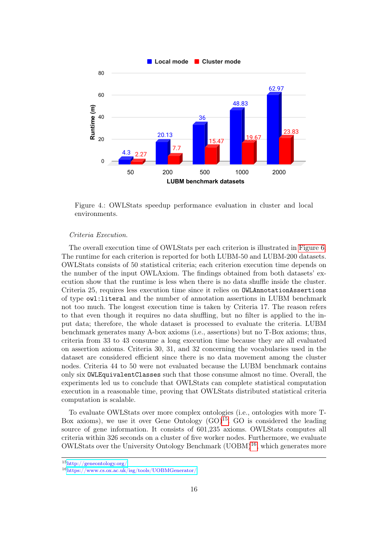<span id="page-15-0"></span>

Figure 4.: OWLStats speedup performance evaluation in cluster and local environments.

#### Criteria Execution.

The overall execution time of OWLStats per each criterion is illustrated in [Figure 6.](#page-16-2) The runtime for each criterion is reported for both LUBM-50 and LUBM-200 datasets. OWLStats consists of 50 statistical criteria; each criterion execution time depends on the number of the input OWLAxiom. The findings obtained from both datasets' execution show that the runtime is less when there is no data shuffle inside the cluster. Criteria 25, requires less execution time since it relies on OWLAnnotationAssertions of type owl:literal and the number of annotation assertions in LUBM benchmark not too much. The longest execution time is taken by Criteria 17. The reason refers to that even though it requires no data shuffling, but no filter is applied to the input data; therefore, the whole dataset is processed to evaluate the criteria. LUBM benchmark generates many A-box axioms (i.e., assertions) but no T-Box axioms; thus, criteria from 33 to 43 consume a long execution time because they are all evaluated on assertion axioms. Criteria 30, 31, and 32 concerning the vocabularies used in the dataset are considered efficient since there is no data movement among the cluster nodes. Criteria 44 to 50 were not evaluated because the LUBM benchmark contains only six OWLEquivalentClasses such that those consume almost no time. Overall, the experiments led us to conclude that OWLStats can complete statistical computation execution in a reasonable time, proving that OWLStats distributed statistical criteria computation is scalable.

To evaluate OWLStats over more complex ontologies (i.e., ontologies with more T-Box axioms), we use it over Gene Ontology  $(GO)^{15}$  $(GO)^{15}$  $(GO)^{15}$ . GO is considered the leading source of gene information. It consists of 601,235 axioms. OWLStats computes all criteria within 326 seconds on a cluster of five worker nodes. Furthermore, we evaluate  $OWLStats$  over the University Ontology Benchmark  $(UOBM)^{16}$  $(UOBM)^{16}$  $(UOBM)^{16}$ , which generates more

<span id="page-15-1"></span><sup>15</sup><http://geneontology.org/>

<span id="page-15-2"></span><sup>16</sup><https://www.cs.ox.ac.uk/isg/tools/UOBMGenerator/>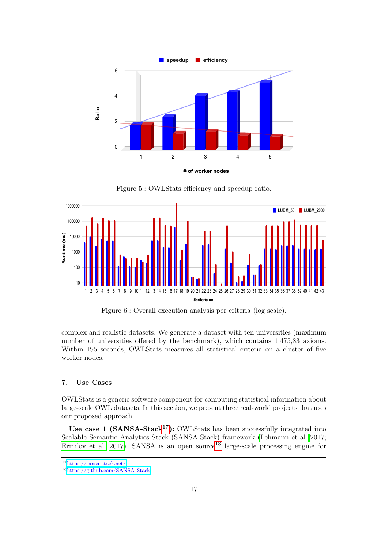<span id="page-16-1"></span>

Figure 5.: OWLStats efficiency and speedup ratio.

<span id="page-16-2"></span>

Figure 6.: Overall execution analysis per criteria (log scale).

complex and realistic datasets. We generate a dataset with ten universities (maximum number of universities offered by the benchmark), which contains 1,475,83 axioms. Within 195 seconds, OWLStats measures all statistical criteria on a cluster of five worker nodes.

# <span id="page-16-0"></span>7. Use Cases

OWLStats is a generic software component for computing statistical information about large-scale OWL datasets. In this section, we present three real-world projects that uses our proposed approach.

Use case 1 (SANSA-Stack<sup>[17](#page-16-3)</sup>): OWLStats has been successfully integrated into Scalable Semantic Analytics Stack (SANSA-Stack) framework [\(Lehmann et al. 2017;](#page-19-10) [Ermilov et al. 2017\)](#page-19-16). SANSA is an open source<sup>[18](#page-16-4)</sup> large-scale processing engine for

<span id="page-16-3"></span><sup>17</sup><https://sansa-stack.net/>

<span id="page-16-4"></span><sup>18</sup><https://github.com/SANSA-Stack>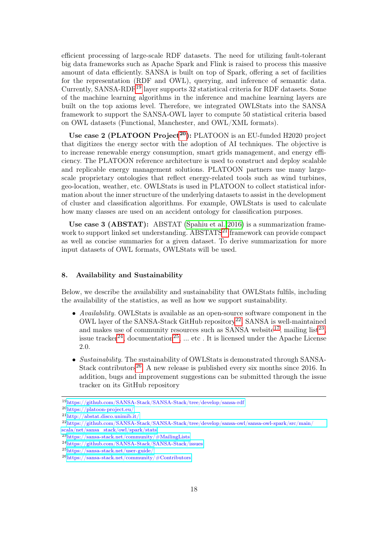efficient processing of large-scale RDF datasets. The need for utilizing fault-tolerant big data frameworks such as Apache Spark and Flink is raised to process this massive amount of data efficiently. SANSA is built on top of Spark, offering a set of facilities for the representation (RDF and OWL), querying, and inference of semantic data. Currently, SANSA-RDF<sup>[19](#page-17-1)</sup> layer supports 32 statistical criteria for RDF datasets. Some of the machine learning algorithms in the inference and machine learning layers are built on the top axioms level. Therefore, we integrated OWLStats into the SANSA framework to support the SANSA-OWL layer to compute 50 statistical criteria based on OWL datasets (Functional, Manchester, and OWL/XML formats).

Use case 2 (PLATOON Project<sup>[20](#page-17-2)</sup>): PLATOON is an EU-funded H2020 project that digitizes the energy sector with the adoption of AI techniques. The objective is to increase renewable energy consumption, smart grids management, and energy efficiency. The PLATOON reference architecture is used to construct and deploy scalable and replicable energy management solutions. PLATOON partners use many largescale proprietary ontologies that reflect energy-related tools such as wind turbines, geo-location, weather, etc. OWLStats is used in PLATOON to collect statistical information about the inner structure of the underlying datasets to assist in the development of cluster and classification algorithms. For example, OWLStats is used to calculate how many classes are used on an accident ontology for classification purposes.

Use case 3 (ABSTAT): ABSTAT [\(Spahiu et al. 2016\)](#page-19-19) is a summarization frame-work to support linked set understanding. ABSTATS<sup>[21](#page-17-3)</sup> framework can provide compact as well as concise summaries for a given dataset. To derive summarization for more input datasets of OWL formats, OWLStats will be used.

# <span id="page-17-0"></span>8. Availability and Sustainability

Below, we describe the availability and sustainability that OWLStats fulfils, including the availability of the statistics, as well as how we support sustainability.

- Availability. OWLStats is available as an open-source software component in the OWL layer of the SANSA-Stack GitHub repository[22](#page-17-4). SANSA is well-maintained and makes use of community resources such as SANSA website<sup>[17](#page-16-3)</sup>, mailing list<sup>[23](#page-17-5)</sup>, issue tracker<sup>[24](#page-17-6)</sup>, documentation<sup>[25](#page-17-7)</sup>, ... etc. It is licensed under the Apache License 2.0.
- Sustainability. The sustainability of OWLStats is demonstrated through SANSA-Stack contributors<sup>[26](#page-17-8)</sup>. A new release is published every six months since 2016. In addition, bugs and improvement suggestions can be submitted through the issue tracker on its GitHub repository

<span id="page-17-1"></span><sup>19</sup><https://github.com/SANSA-Stack/SANSA-Stack/tree/develop/sansa-rdf>

<span id="page-17-2"></span><sup>20</sup><https://platoon-project.eu/>

<span id="page-17-3"></span><sup>21</sup><http://abstat.disco.unimib.it/>

<span id="page-17-4"></span><sup>22</sup>[https://github.com/SANSA-Stack/SANSA-Stack/tree/develop/sansa-owl/sansa-owl-spark/src/main/](https://github.com/SANSA-Stack/SANSA-Stack/tree/develop/sansa-owl/sansa-owl-spark/src/main/scala/net/sansa_stack/owl/spark/stats) [scala/net/sansa\\_stack/owl/spark/stats](https://github.com/SANSA-Stack/SANSA-Stack/tree/develop/sansa-owl/sansa-owl-spark/src/main/scala/net/sansa_stack/owl/spark/stats)

<span id="page-17-5"></span><sup>23</sup><https://sansa-stack.net/community/#MailingLists>

<span id="page-17-6"></span> $^{24}{\rm https://github.com/SANSA-Stack/SANSA-Stack/issues}$  $^{24}{\rm https://github.com/SANSA-Stack/SANSA-Stack/issues}$  $^{24}{\rm https://github.com/SANSA-Stack/SANSA-Stack/issues}$ 

<span id="page-17-7"></span><sup>25</sup><https://sansa-stack.net/user-guide/>

<span id="page-17-8"></span><sup>26</sup><https://sansa-stack.net/community/#Contributors>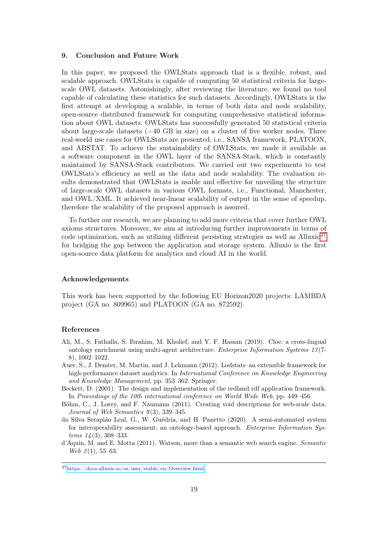# <span id="page-18-1"></span>9. Conclusion and Future Work

In this paper, we proposed the OWLStats approach that is a flexible, robust, and scalable approach. OWLStats is capable of computing 50 statistical criteria for largescale OWL datasets. Astonishingly, after reviewing the literature, we found no tool capable of calculating these statistics for such datasets. Accordingly, OWLStats is the first attempt at developing a scalable, in terms of both data and node scalability, open-source distributed framework for computing comprehensive statistical information about OWL datasets. OWLStats has successfully generated 50 statistical criteria about large-scale datasets  $(+40$  GB in size) on a cluster of five worker nodes. Three real-world use cases for OWLStats are presented; i.e., SANSA framework, PLATOON, and ABSTAT. To achieve the sustainability of OWLStats, we made it available as a software component in the OWL layer of the SANSA-Stack, which is constantly maintained by SANSA-Stack contributors. We carried out two experiments to test OWLStats's efficiency as well as the data and node scalability. The evaluation results demonstrated that OWLStats is usable and effective for unveiling the structure of large-scale OWL datasets in various OWL formats, i.e., Functional, Manchester, and OWL/XML. It achieved near-linear scalability of output in the sense of speedup, therefore the scalability of the proposed approach is assured.

To further our research, we are planning to add more criteria that cover further OWL axioms structures. Moreover, we aim at introducing further improvements in terms of code optimization, such as utilizing different persisting strategies as well as Alluxio<sup>[27](#page-18-7)</sup> for bridging the gap between the application and storage system. Alluxio is the first open-source data platform for analytics and cloud AI in the world.

### Acknowledgements

This work has been supported by the following EU Horizon2020 projects: LAMBDA project (GA no. 809965) and PLATOON (GA no. 872592).

#### References

- <span id="page-18-3"></span>Ali, M., S. Fathalla, S. Ibrahim, M. Kholief, and Y. F. Hassan (2019). Cloe: a cross-lingual ontology enrichment using multi-agent architecture. Enterprise Information Systems 13 (7- 8), 1002–1022.
- <span id="page-18-0"></span>Auer, S., J. Demter, M. Martin, and J. Lehmann (2012). Lodstats–an extensible framework for high-performance dataset analytics. In *International Conference on Knowledge Engineering* and Knowledge Management, pp. 353–362. Springer.
- <span id="page-18-4"></span>Beckett, D. (2001). The design and implementation of the redland rdf application framework. In Proceedings of the 10th international conference on World Wide Web, pp. 449–456.
- <span id="page-18-5"></span>Böhm, C., J. Lorey, and F. Naumann (2011). Creating void descriptions for web-scale data. Journal of Web Semantics  $9(3)$ , 339–345.
- <span id="page-18-2"></span>da Silva Serapião Leal, G., W. Guédria, and H. Panetto (2020). A semi-automated system for interoperability assessment: an ontology-based approach. *Enterprise Information Sys* $tems \; 14(3), \; 308-333.$
- <span id="page-18-6"></span>d'Aquin, M. and E. Motta (2011). Watson, more than a semantic web search engine. Semantic Web  $2(1), 55-63.$

<span id="page-18-7"></span><sup>27</sup><https://docs.alluxio.io/os/user/stable/en/Overview.html>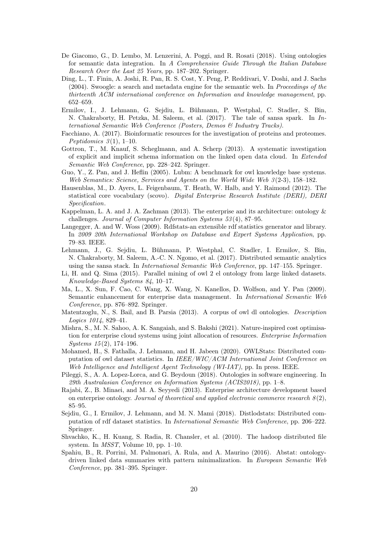- <span id="page-19-5"></span>De Giacomo, G., D. Lembo, M. Lenzerini, A. Poggi, and R. Rosati (2018). Using ontologies for semantic data integration. In A Comprehensive Guide Through the Italian Database Research Over the Last 25 Years, pp. 187–202. Springer.
- <span id="page-19-14"></span>Ding, L., T. Finin, A. Joshi, R. Pan, R. S. Cost, Y. Peng, P. Reddivari, V. Doshi, and J. Sachs (2004). Swoogle: a search and metadata engine for the semantic web. In Proceedings of the thirteenth ACM international conference on Information and knowledge management, pp. 652–659.
- <span id="page-19-16"></span>Ermilov, I., J. Lehmann, G. Sejdiu, L. Bühmann, P. Westphal, C. Stadler, S. Bin, N. Chakraborty, H. Petzka, M. Saleem, et al.  $(2017)$ . The tale of sansa spark. In International Semantic Web Conference (Posters, Demos & Industry Tracks).
- <span id="page-19-4"></span>Facchiano, A. (2017). Bioinformatic resources for the investigation of proteins and proteomes. Peptidomics  $3(1)$ , 1–10.
- <span id="page-19-12"></span>Gottron, T., M. Knauf, S. Scheglmann, and A. Scherp (2013). A systematic investigation of explicit and implicit schema information on the linked open data cloud. In Extended Semantic Web Conference, pp. 228–242. Springer.
- <span id="page-19-18"></span>Guo, Y., Z. Pan, and J. Heflin (2005). Lubm: A benchmark for owl knowledge base systems. Web Semantics: Science, Services and Agents on the World Wide Web 3 (2-3), 158–182.
- <span id="page-19-11"></span>Hausenblas, M., D. Ayers, L. Feigenbaum, T. Heath, W. Halb, and Y. Raimond (2012). The statistical core vocabulary (scovo). Digital Enterprise Research Institute (DERI), DERI Specification.
- <span id="page-19-2"></span>Kappelman, L. A. and J. A. Zachman (2013). The enterprise and its architecture: ontology & challenges. Journal of Computer Information Systems 53 (4), 87–95.
- <span id="page-19-7"></span>Langegger, A. and W. Woss (2009). Rdfstats-an extensible rdf statistics generator and library. In 2009 20th International Workshop on Database and Expert Systems Application, pp. 79–83. IEEE.
- <span id="page-19-10"></span>Lehmann, J., G. Sejdiu, L. Bühmann, P. Westphal, C. Stadler, I. Ermilov, S. Bin, N. Chakraborty, M. Saleem, A.-C. N. Ngomo, et al. (2017). Distributed semantic analytics using the sansa stack. In International Semantic Web Conference, pp. 147–155. Springer.
- <span id="page-19-1"></span>Li, H. and Q. Sima (2015). Parallel mining of owl 2 el ontology from large linked datasets. Knowledge-Based Systems 84, 10–17.
- <span id="page-19-0"></span>Ma, L., X. Sun, F. Cao, C. Wang, X. Wang, N. Kanellos, D. Wolfson, and Y. Pan (2009). Semantic enhancement for enterprise data management. In International Semantic Web Conference, pp. 876–892. Springer.
- <span id="page-19-13"></span>Matentzoglu, N., S. Bail, and B. Parsia (2013). A corpus of owl dl ontologies. Description Logics 1014, 829–41.
- <span id="page-19-17"></span>Mishra, S., M. N. Sahoo, A. K. Sangaiah, and S. Bakshi (2021). Nature-inspired cost optimisation for enterprise cloud systems using joint allocation of resources. Enterprise Information Systems 15 (2), 174–196.
- <span id="page-19-9"></span>Mohamed, H., S. Fathalla, J. Lehmann, and H. Jabeen (2020). OWLStats: Distributed computation of owl dataset statistics. In IEEE/WIC/ACM International Joint Conference on Web Intelligence and Intelligent Agent Technology (WI-IAT), pp. In press. IEEE.
- <span id="page-19-3"></span>Pileggi, S., A. A. Lopez-Lorca, and G. Beydoun (2018). Ontologies in software engineering. In 29th Australasian Conference on Information Systems (ACIS2018), pp. 1–8.
- <span id="page-19-6"></span>Rajabi, Z., B. Minaei, and M. A. Seyyedi (2013). Enterprise architecture development based on enterprise ontology. Journal of theoretical and applied electronic commerce research  $8(2)$ , 85–95.
- <span id="page-19-8"></span>Sejdiu, G., I. Ermilov, J. Lehmann, and M. N. Mami (2018). Distlodstats: Distributed computation of rdf dataset statistics. In International Semantic Web Conference, pp. 206–222. Springer.
- <span id="page-19-15"></span>Shvachko, K., H. Kuang, S. Radia, R. Chansler, et al. (2010). The hadoop distributed file system. In MSST, Volume 10, pp. 1–10.
- <span id="page-19-19"></span>Spahiu, B., R. Porrini, M. Palmonari, A. Rula, and A. Maurino (2016). Abstat: ontologydriven linked data summaries with pattern minimalization. In European Semantic Web Conference, pp. 381–395. Springer.